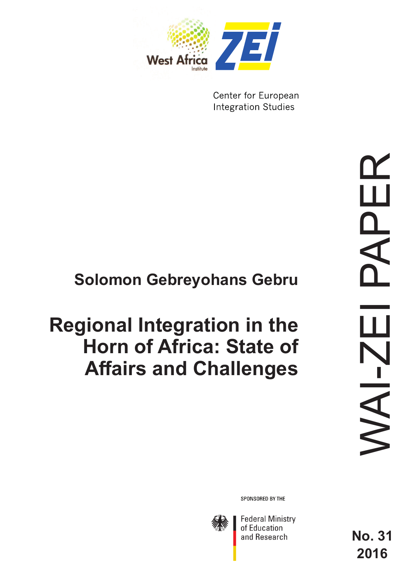

Center for European **Integration Studies** 

## **Solomon Gebreyohans Gebru**

# **Regional Integration in the Horn of Africa: State of Affairs and Challenges**

SPONSORED BY THE



**Federal Ministry** of Education and Research

**No. 31 2016**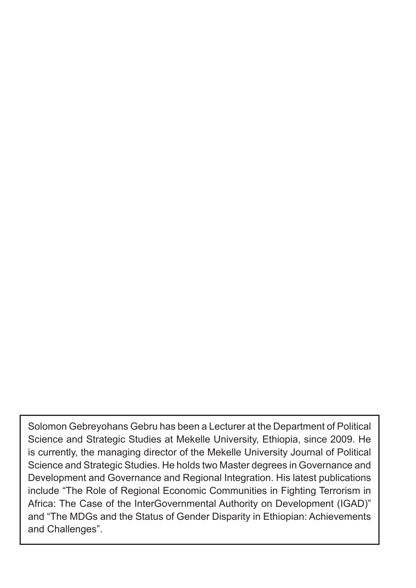Solomon Gebreyohans Gebru has been a Lecturer at the Department of Political Science and Strategic Studies at Mekelle University, Ethiopia, since 2009. He is currently, the managing director of the Mekelle University Journal of Political Science and Strategic Studies. He holds two Master degrees in Governance and Development and Governance and Regional Integration. His latest publications include "The Role of Regional Economic Communities in Fighting Terrorism in Africa: The Case of the InterGovernmental Authority on Development (IGAD)" and "The MDGs and the Status of Gender Disparity in Ethiopian: Achievements and Challenges".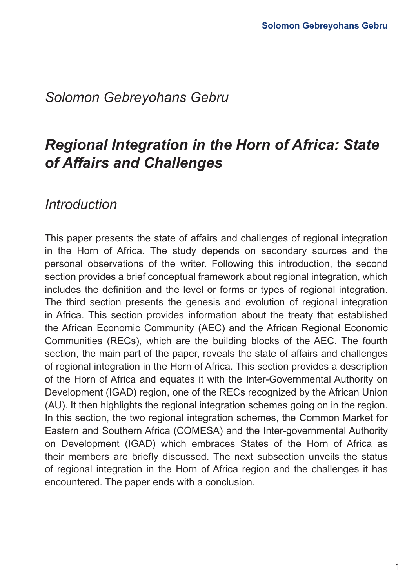## *Solomon Gebreyohans Gebru*

## *Regional Integration in the Horn of Africa: State of Affairs and Challenges*

## *Introduction*

This paper presents the state of affairs and challenges of regional integration in the Horn of Africa. The study depends on secondary sources and the personal observations of the writer. Following this introduction, the second section provides a brief conceptual framework about regional integration, which includes the definition and the level or forms or types of regional integration. The third section presents the genesis and evolution of regional integration in Africa. This section provides information about the treaty that established the African Economic Community (AEC) and the African Regional Economic Communities (RECs), which are the building blocks of the AEC. The fourth section, the main part of the paper, reveals the state of affairs and challenges of regional integration in the Horn of Africa. This section provides a description of the Horn of Africa and equates it with the Inter-Governmental Authority on Development (IGAD) region, one of the RECs recognized by the African Union (AU). It then highlights the regional integration schemes going on in the region. In this section, the two regional integration schemes, the Common Market for Eastern and Southern Africa (COMESA) and the Inter-governmental Authority on Development (IGAD) which embraces States of the Horn of Africa as their members are briefly discussed. The next subsection unveils the status of regional integration in the Horn of Africa region and the challenges it has encountered. The paper ends with a conclusion.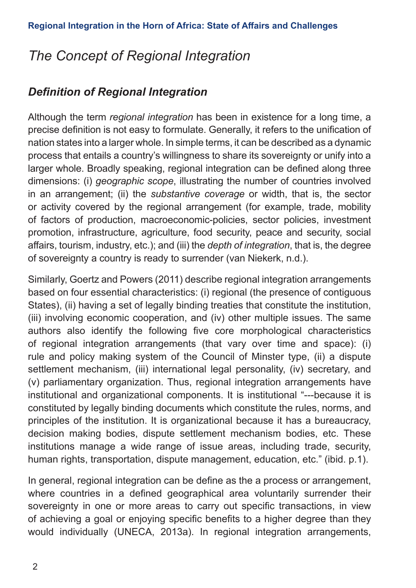## *The Concept of Regional Integration*

## *Definition of Regional Integration*

Although the term *regional integration* has been in existence for a long time, a precise definition is not easy to formulate. Generally, it refers to the unification of nation states into a larger whole. In simple terms, it can be described as a dynamic process that entails a country's willingness to share its sovereignty or unify into a larger whole. Broadly speaking, regional integration can be defined along three dimensions: (i) *geographic scope*, illustrating the number of countries involved in an arrangement; (ii) the *substantive coverage* or width, that is, the sector or activity covered by the regional arrangement (for example, trade, mobility of factors of production, macroeconomic-policies, sector policies, investment promotion, infrastructure, agriculture, food security, peace and security, social affairs, tourism, industry, etc.); and (iii) the *depth of integration*, that is, the degree of sovereignty a country is ready to surrender (van Niekerk, n.d.).

Similarly, Goertz and Powers (2011) describe regional integration arrangements based on four essential characteristics: (i) regional (the presence of contiguous States), (ii) having a set of legally binding treaties that constitute the institution, (iii) involving economic cooperation, and (iv) other multiple issues. The same authors also identify the following five core morphological characteristics of regional integration arrangements (that vary over time and space): (i) rule and policy making system of the Council of Minster type, (ii) a dispute settlement mechanism, (iii) international legal personality, (iv) secretary, and (v) parliamentary organization. Thus, regional integration arrangements have institutional and organizational components. It is institutional "---because it is constituted by legally binding documents which constitute the rules, norms, and principles of the institution. It is organizational because it has a bureaucracy, decision making bodies, dispute settlement mechanism bodies, etc. These institutions manage a wide range of issue areas, including trade, security, human rights, transportation, dispute management, education, etc." (ibid. p.1).

In general, regional integration can be define as the a process or arrangement, where countries in a defined geographical area voluntarily surrender their sovereignty in one or more areas to carry out specific transactions, in view of achieving a goal or enjoying specific benefits to a higher degree than they would individually (UNECA, 2013a). In regional integration arrangements,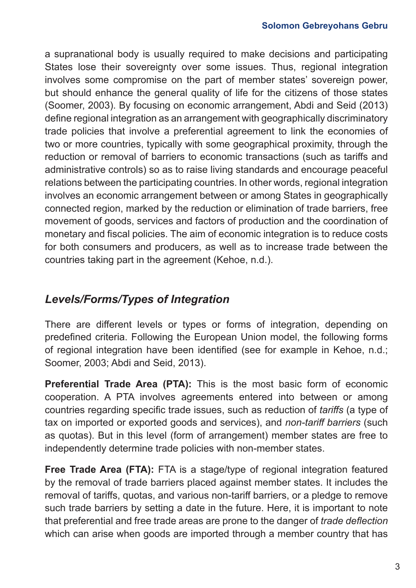a supranational body is usually required to make decisions and participating States lose their sovereignty over some issues. Thus, regional integration involves some compromise on the part of member states' sovereign power, but should enhance the general quality of life for the citizens of those states (Soomer, 2003). By focusing on economic arrangement, Abdi and Seid (2013) define regional integration as an arrangement with geographically discriminatory trade policies that involve a preferential agreement to link the economies of two or more countries, typically with some geographical proximity, through the reduction or removal of barriers to economic transactions (such as tariffs and administrative controls) so as to raise living standards and encourage peaceful relations between the participating countries. In other words, regional integration involves an economic arrangement between or among States in geographically connected region, marked by the reduction or elimination of trade barriers, free movement of goods, services and factors of production and the coordination of monetary and fiscal policies. The aim of economic integration is to reduce costs for both consumers and producers, as well as to increase trade between the countries taking part in the agreement (Kehoe, n.d.).

## *Levels/Forms/Types of Integration*

There are different levels or types or forms of integration, depending on predefined criteria. Following the European Union model, the following forms of regional integration have been identified (see for example in Kehoe, n.d.; Soomer, 2003; Abdi and Seid, 2013).

**Preferential Trade Area (PTA):** This is the most basic form of economic cooperation. A PTA involves agreements entered into between or among countries regarding specific trade issues, such as reduction of *tariffs* (a type of tax on imported or exported goods and services), and *non-tariff barriers* (such as quotas). But in this level (form of arrangement) member states are free to independently determine trade policies with non-member states.

**Free Trade Area (FTA):** FTA is a stage/type of regional integration featured by the removal of trade barriers placed against member states. It includes the removal of tariffs, quotas, and various non-tariff barriers, or a pledge to remove such trade barriers by setting a date in the future. Here, it is important to note that preferential and free trade areas are prone to the danger of *trade deflection* which can arise when goods are imported through a member country that has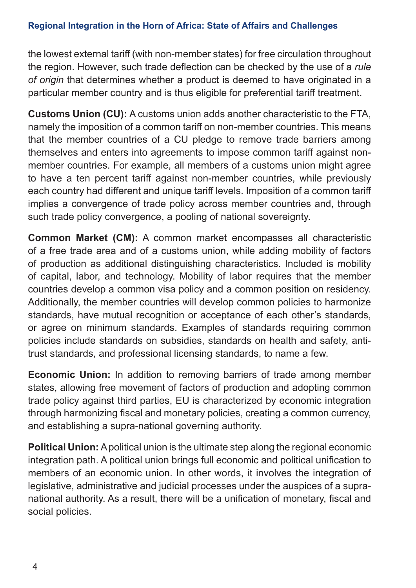the lowest external tariff (with non-member states) for free circulation throughout the region. However, such trade deflection can be checked by the use of a *rule of origin* that determines whether a product is deemed to have originated in a particular member country and is thus eligible for preferential tariff treatment.

**Customs Union (CU):** A customs union adds another characteristic to the FTA, namely the imposition of a common tariff on non-member countries. This means that the member countries of a CU pledge to remove trade barriers among themselves and enters into agreements to impose common tariff against nonmember countries. For example, all members of a customs union might agree to have a ten percent tariff against non-member countries, while previously each country had different and unique tariff levels. Imposition of a common tariff implies a convergence of trade policy across member countries and, through such trade policy convergence, a pooling of national sovereignty.

**Common Market (CM):** A common market encompasses all characteristic of a free trade area and of a customs union, while adding mobility of factors of production as additional distinguishing characteristics. Included is mobility of capital, labor, and technology. Mobility of labor requires that the member countries develop a common visa policy and a common position on residency. Additionally, the member countries will develop common policies to harmonize standards, have mutual recognition or acceptance of each other's standards, or agree on minimum standards. Examples of standards requiring common policies include standards on subsidies, standards on health and safety, antitrust standards, and professional licensing standards, to name a few.

**Economic Union:** In addition to removing barriers of trade among member states, allowing free movement of factors of production and adopting common trade policy against third parties, EU is characterized by economic integration through harmonizing fiscal and monetary policies, creating a common currency, and establishing a supra-national governing authority.

**Political Union:** A political union is the ultimate step along the regional economic integration path. A political union brings full economic and political unification to members of an economic union. In other words, it involves the integration of legislative, administrative and judicial processes under the auspices of a supranational authority. As a result, there will be a unification of monetary, fiscal and social policies.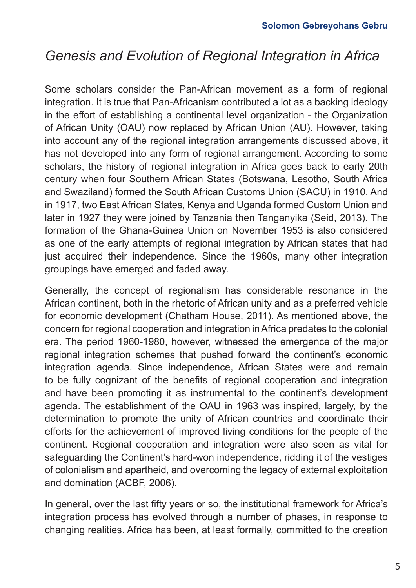## *Genesis and Evolution of Regional Integration in Africa*

Some scholars consider the Pan-African movement as a form of regional integration. It is true that Pan-Africanism contributed a lot as a backing ideology in the effort of establishing a continental level organization - the Organization of African Unity (OAU) now replaced by African Union (AU). However, taking into account any of the regional integration arrangements discussed above, it has not developed into any form of regional arrangement. According to some scholars, the history of regional integration in Africa goes back to early 20th century when four Southern African States (Botswana, Lesotho, South Africa and Swaziland) formed the South African Customs Union (SACU) in 1910. And in 1917, two East African States, Kenya and Uganda formed Custom Union and later in 1927 they were joined by Tanzania then Tanganyika (Seid, 2013). The formation of the Ghana-Guinea Union on November 1953 is also considered as one of the early attempts of regional integration by African states that had just acquired their independence. Since the 1960s, many other integration groupings have emerged and faded away.

Generally, the concept of regionalism has considerable resonance in the African continent, both in the rhetoric of African unity and as a preferred vehicle for economic development (Chatham House, 2011). As mentioned above, the concern for regional cooperation and integration in Africa predates to the colonial era. The period 1960-1980, however, witnessed the emergence of the major regional integration schemes that pushed forward the continent's economic integration agenda. Since independence, African States were and remain to be fully cognizant of the benefits of regional cooperation and integration and have been promoting it as instrumental to the continent's development agenda. The establishment of the OAU in 1963 was inspired, largely, by the determination to promote the unity of African countries and coordinate their efforts for the achievement of improved living conditions for the people of the continent. Regional cooperation and integration were also seen as vital for safeguarding the Continent's hard-won independence, ridding it of the vestiges of colonialism and apartheid, and overcoming the legacy of external exploitation and domination (ACBF, 2006).

In general, over the last fifty years or so, the institutional framework for Africa's integration process has evolved through a number of phases, in response to changing realities. Africa has been, at least formally, committed to the creation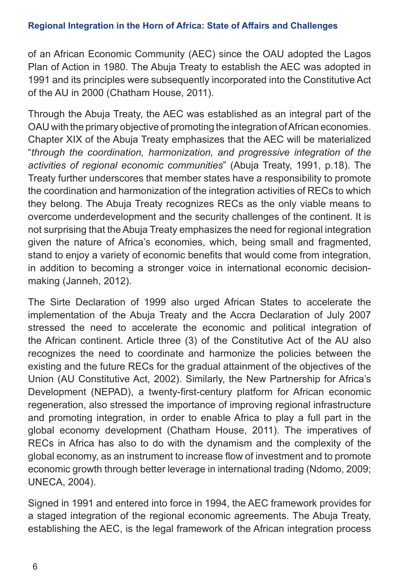of an African Economic Community (AEC) since the OAU adopted the Lagos Plan of Action in 1980. The Abuja Treaty to establish the AEC was adopted in 1991 and its principles were subsequently incorporated into the Constitutive Act of the AU in 2000 (Chatham House, 2011).

Through the Abuja Treaty, the AEC was established as an integral part of the OAU with the primary objective of promoting the integration of African economies. Chapter XIX of the Abuja Treaty emphasizes that the AEC will be materialized "*through the coordination, harmonization, and progressive integration of the activities of regional economic communities*" (Abuja Treaty, 1991, p.18). The Treaty further underscores that member states have a responsibility to promote the coordination and harmonization of the integration activities of RECs to which they belong. The Abuja Treaty recognizes RECs as the only viable means to overcome underdevelopment and the security challenges of the continent. It is not surprising that the Abuja Treaty emphasizes the need for regional integration given the nature of Africa's economies, which, being small and fragmented, stand to enjoy a variety of economic benefits that would come from integration, in addition to becoming a stronger voice in international economic decisionmaking (Janneh, 2012).

The Sirte Declaration of 1999 also urged African States to accelerate the implementation of the Abuja Treaty and the Accra Declaration of July 2007 stressed the need to accelerate the economic and political integration of the African continent. Article three (3) of the Constitutive Act of the AU also recognizes the need to coordinate and harmonize the policies between the existing and the future RECs for the gradual attainment of the objectives of the Union (AU Constitutive Act, 2002). Similarly, the New Partnership for Africa's Development (NEPAD), a twenty-first-century platform for African economic regeneration, also stressed the importance of improving regional infrastructure and promoting integration, in order to enable Africa to play a full part in the global economy development (Chatham House, 2011). The imperatives of RECs in Africa has also to do with the dynamism and the complexity of the global economy, as an instrument to increase flow of investment and to promote economic growth through better leverage in international trading (Ndomo, 2009; UNECA, 2004).

Signed in 1991 and entered into force in 1994, the AEC framework provides for a staged integration of the regional economic agreements. The Abuja Treaty, establishing the AEC, is the legal framework of the African integration process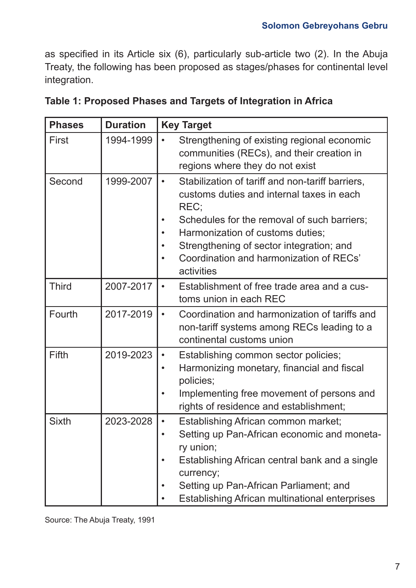as specified in its Article six (6), particularly sub-article two (2). In the Abuja Treaty, the following has been proposed as stages/phases for continental level integration.

| <b>Phases</b> | <b>Duration</b> | <b>Key Target</b>                                                                                                                                                                                                                                                                                                                                 |  |
|---------------|-----------------|---------------------------------------------------------------------------------------------------------------------------------------------------------------------------------------------------------------------------------------------------------------------------------------------------------------------------------------------------|--|
| First         | 1994-1999       | Strengthening of existing regional economic<br>$\bullet$<br>communities (RECs), and their creation in<br>regions where they do not exist                                                                                                                                                                                                          |  |
| Second        | 1999-2007       | Stabilization of tariff and non-tariff barriers,<br>$\bullet$<br>customs duties and internal taxes in each<br>REC:<br>Schedules for the removal of such barriers;<br>Harmonization of customs duties;<br>$\bullet$<br>Strengthening of sector integration; and<br>$\bullet$<br>Coordination and harmonization of RECs'<br>$\bullet$<br>activities |  |
| <b>Third</b>  | 2007-2017       | Establishment of free trade area and a cus-<br>$\bullet$<br>toms union in each REC                                                                                                                                                                                                                                                                |  |
| Fourth        | 2017-2019       | Coordination and harmonization of tariffs and<br>$\bullet$<br>non-tariff systems among RECs leading to a<br>continental customs union                                                                                                                                                                                                             |  |
| Fifth         | 2019-2023       | Establishing common sector policies;<br>$\bullet$<br>Harmonizing monetary, financial and fiscal<br>$\bullet$<br>policies;<br>Implementing free movement of persons and<br>$\bullet$<br>rights of residence and establishment;                                                                                                                     |  |
| <b>Sixth</b>  | 2023-2028       | Establishing African common market;<br>$\bullet$<br>Setting up Pan-African economic and moneta-<br>ry union;<br>Establishing African central bank and a single<br>currency;<br>Setting up Pan-African Parliament; and<br>Establishing African multinational enterprises                                                                           |  |

|  | Table 1: Proposed Phases and Targets of Integration in Africa |
|--|---------------------------------------------------------------|
|--|---------------------------------------------------------------|

Source: The Abuja Treaty, 1991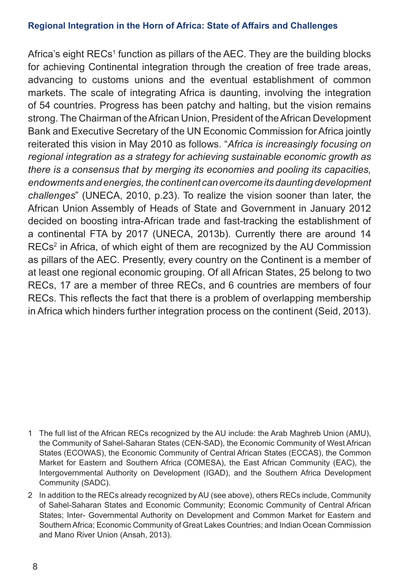Africa's eight RECs<sup>1</sup> function as pillars of the AEC. They are the building blocks for achieving Continental integration through the creation of free trade areas, advancing to customs unions and the eventual establishment of common markets. The scale of integrating Africa is daunting, involving the integration of 54 countries. Progress has been patchy and halting, but the vision remains strong. The Chairman of the African Union, President of the African Development Bank and Executive Secretary of the UN Economic Commission for Africa jointly reiterated this vision in May 2010 as follows. "*Africa is increasingly focusing on regional integration as a strategy for achieving sustainable economic growth as there is a consensus that by merging its economies and pooling its capacities, endowments and energies, the continent can overcome its daunting development challenges*" (UNECA, 2010, p.23). To realize the vision sooner than later, the African Union Assembly of Heads of State and Government in January 2012 decided on boosting intra-African trade and fast-tracking the establishment of a continental FTA by 2017 (UNECA, 2013b). Currently there are around 14 RECs<sup>2</sup> in Africa, of which eight of them are recognized by the AU Commission as pillars of the AEC. Presently, every country on the Continent is a member of at least one regional economic grouping. Of all African States, 25 belong to two RECs, 17 are a member of three RECs, and 6 countries are members of four RECs. This reflects the fact that there is a problem of overlapping membership in Africa which hinders further integration process on the continent (Seid, 2013).

- 1 The full list of the African RECs recognized by the AU include: the Arab Maghreb Union (AMU), the Community of Sahel-Saharan States (CEN-SAD), the Economic Community of West African States (ECOWAS), the Economic Community of Central African States (ECCAS), the Common Market for Eastern and Southern Africa (COMESA), the East African Community (EAC), the Intergovernmental Authority on Development (IGAD), and the Southern Africa Development Community (SADC).
- 2 In addition to the RECs already recognized by AU (see above), others RECs include, Community of Sahel-Saharan States and Economic Community; Economic Community of Central African States; Inter- Governmental Authority on Development and Common Market for Eastern and Southern Africa; Economic Community of Great Lakes Countries; and Indian Ocean Commission and Mano River Union (Ansah, 2013).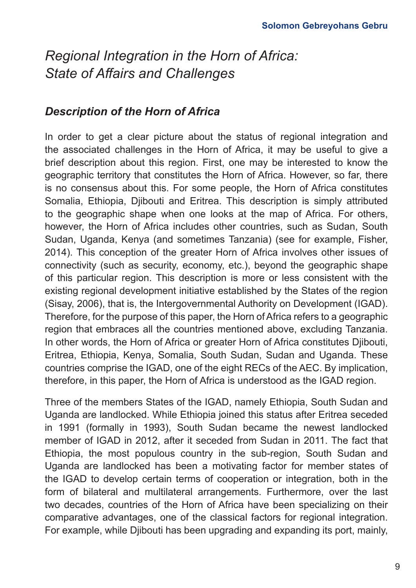## *Description of the Horn of Africa*

In order to get a clear picture about the status of regional integration and the associated challenges in the Horn of Africa, it may be useful to give a brief description about this region. First, one may be interested to know the geographic territory that constitutes the Horn of Africa. However, so far, there is no consensus about this. For some people, the Horn of Africa constitutes Somalia, Ethiopia, Djibouti and Eritrea. This description is simply attributed to the geographic shape when one looks at the map of Africa. For others, however, the Horn of Africa includes other countries, such as Sudan, South Sudan, Uganda, Kenya (and sometimes Tanzania) (see for example, Fisher, 2014). This conception of the greater Horn of Africa involves other issues of connectivity (such as security, economy, etc.), beyond the geographic shape of this particular region. This description is more or less consistent with the existing regional development initiative established by the States of the region (Sisay, 2006), that is, the Intergovernmental Authority on Development (IGAD). Therefore, for the purpose of this paper, the Horn of Africa refers to a geographic region that embraces all the countries mentioned above, excluding Tanzania. In other words, the Horn of Africa or greater Horn of Africa constitutes Djibouti, Eritrea, Ethiopia, Kenya, Somalia, South Sudan, Sudan and Uganda. These countries comprise the IGAD, one of the eight RECs of the AEC. By implication, therefore, in this paper, the Horn of Africa is understood as the IGAD region.

Three of the members States of the IGAD, namely Ethiopia, South Sudan and Uganda are landlocked. While Ethiopia joined this status after Eritrea seceded in 1991 (formally in 1993), South Sudan became the newest landlocked member of IGAD in 2012, after it seceded from Sudan in 2011. The fact that Ethiopia, the most populous country in the sub-region, South Sudan and Uganda are landlocked has been a motivating factor for member states of the IGAD to develop certain terms of cooperation or integration, both in the form of bilateral and multilateral arrangements. Furthermore, over the last two decades, countries of the Horn of Africa have been specializing on their comparative advantages, one of the classical factors for regional integration. For example, while Djibouti has been upgrading and expanding its port, mainly,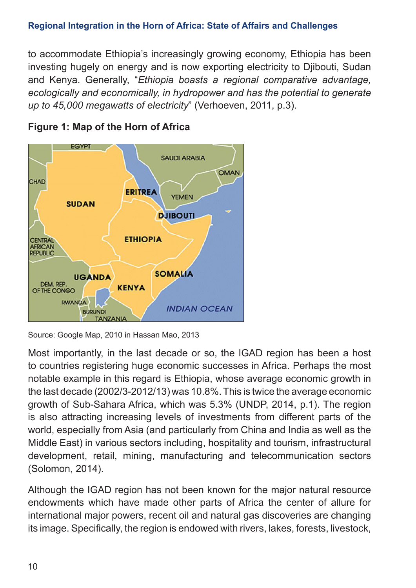to accommodate Ethiopia's increasingly growing economy, Ethiopia has been investing hugely on energy and is now exporting electricity to Djibouti, Sudan and Kenya. Generally, "*Ethiopia boasts a regional comparative advantage, ecologically and economically, in hydropower and has the potential to generate up to 45,000 megawatts of electricity*" (Verhoeven, 2011, p.3).



### **Figure 1: Map of the Horn of Africa**

Most importantly, in the last decade or so, the IGAD region has been a host to countries registering huge economic successes in Africa. Perhaps the most notable example in this regard is Ethiopia, whose average economic growth in the last decade (2002/3-2012/13) was 10.8%. This is twice the average economic growth of Sub-Sahara Africa, which was 5.3% (UNDP, 2014, p.1). The region is also attracting increasing levels of investments from different parts of the world, especially from Asia (and particularly from China and India as well as the Middle East) in various sectors including, hospitality and tourism, infrastructural development, retail, mining, manufacturing and telecommunication sectors (Solomon, 2014).

Although the IGAD region has not been known for the major natural resource endowments which have made other parts of Africa the center of allure for international major powers, recent oil and natural gas discoveries are changing its image. Specifically, the region is endowed with rivers, lakes, forests, livestock,

Source: Google Map, 2010 in Hassan Mao, 2013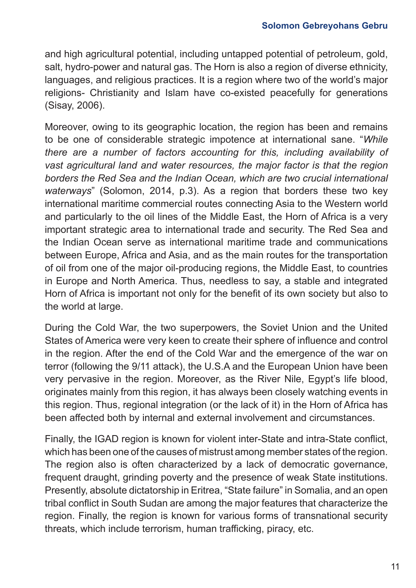and high agricultural potential, including untapped potential of petroleum, gold, salt, hydro-power and natural gas. The Horn is also a region of diverse ethnicity, languages, and religious practices. It is a region where two of the world's major religions- Christianity and Islam have co-existed peacefully for generations (Sisay, 2006).

Moreover, owing to its geographic location, the region has been and remains to be one of considerable strategic impotence at international sane. "*While there are a number of factors accounting for this, including availability of vast agricultural land and water resources, the major factor is that the region borders the Red Sea and the Indian Ocean, which are two crucial international waterways*" (Solomon, 2014, p.3). As a region that borders these two key international maritime commercial routes connecting Asia to the Western world and particularly to the oil lines of the Middle East, the Horn of Africa is a very important strategic area to international trade and security. The Red Sea and the Indian Ocean serve as international maritime trade and communications between Europe, Africa and Asia, and as the main routes for the transportation of oil from one of the major oil-producing regions, the Middle East, to countries in Europe and North America. Thus, needless to say, a stable and integrated Horn of Africa is important not only for the benefit of its own society but also to the world at large.

During the Cold War, the two superpowers, the Soviet Union and the United States of America were very keen to create their sphere of influence and control in the region. After the end of the Cold War and the emergence of the war on terror (following the 9/11 attack), the U.S.A and the European Union have been very pervasive in the region. Moreover, as the River Nile, Egypt's life blood, originates mainly from this region, it has always been closely watching events in this region. Thus, regional integration (or the lack of it) in the Horn of Africa has been affected both by internal and external involvement and circumstances.

Finally, the IGAD region is known for violent inter-State and intra-State conflict, which has been one of the causes of mistrust among member states of the region. The region also is often characterized by a lack of democratic governance, frequent draught, grinding poverty and the presence of weak State institutions. Presently, absolute dictatorship in Eritrea, "State failure" in Somalia, and an open tribal conflict in South Sudan are among the major features that characterize the region. Finally, the region is known for various forms of transnational security threats, which include terrorism, human trafficking, piracy, etc.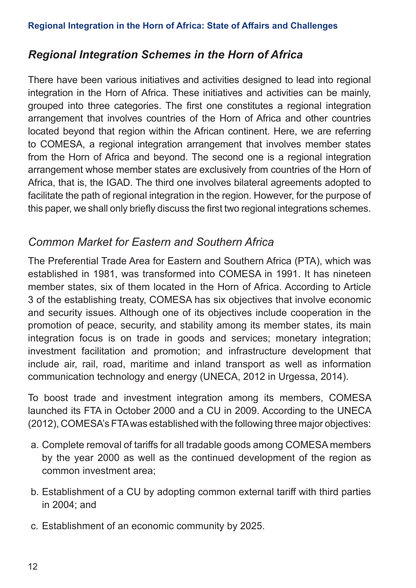## *Regional Integration Schemes in the Horn of Africa*

There have been various initiatives and activities designed to lead into regional integration in the Horn of Africa. These initiatives and activities can be mainly, grouped into three categories. The first one constitutes a regional integration arrangement that involves countries of the Horn of Africa and other countries located beyond that region within the African continent. Here, we are referring to COMESA, a regional integration arrangement that involves member states from the Horn of Africa and beyond. The second one is a regional integration arrangement whose member states are exclusively from countries of the Horn of Africa, that is, the IGAD. The third one involves bilateral agreements adopted to facilitate the path of regional integration in the region. However, for the purpose of this paper, we shall only briefly discuss the first two regional integrations schemes.

## *Common Market for Eastern and Southern Africa*

The Preferential Trade Area for Eastern and Southern Africa (PTA), which was established in 1981, was transformed into COMESA in 1991. It has nineteen member states, six of them located in the Horn of Africa. According to Article 3 of the establishing treaty, COMESA has six objectives that involve economic and security issues. Although one of its objectives include cooperation in the promotion of peace, security, and stability among its member states, its main integration focus is on trade in goods and services; monetary integration; investment facilitation and promotion; and infrastructure development that include air, rail, road, maritime and inland transport as well as information communication technology and energy (UNECA, 2012 in Urgessa, 2014).

To boost trade and investment integration among its members, COMESA launched its FTA in October 2000 and a CU in 2009. According to the UNECA (2012), COMESA's FTA was established with the following three major objectives:

- a. Complete removal of tariffs for all tradable goods among COMESA members by the year 2000 as well as the continued development of the region as common investment area;
- b. Establishment of a CU by adopting common external tariff with third parties in 2004; and
- c. Establishment of an economic community by 2025.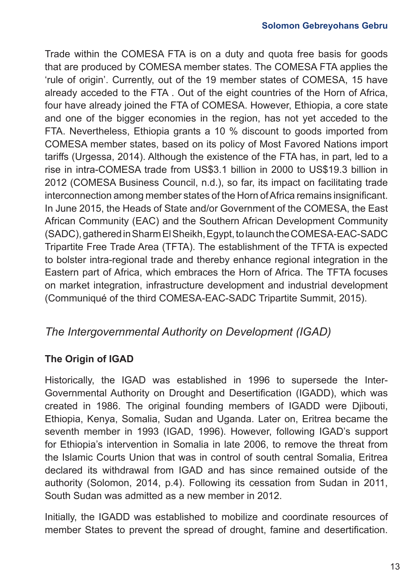Trade within the COMESA FTA is on a duty and quota free basis for goods that are produced by COMESA member states. The COMESA FTA applies the 'rule of origin'. Currently, out of the 19 member states of COMESA, 15 have already acceded to the FTA . Out of the eight countries of the Horn of Africa, four have already joined the FTA of COMESA. However, Ethiopia, a core state and one of the bigger economies in the region, has not yet acceded to the FTA. Nevertheless, Ethiopia grants a 10 % discount to goods imported from COMESA member states, based on its policy of Most Favored Nations import tariffs (Urgessa, 2014). Although the existence of the FTA has, in part, led to a rise in intra-COMESA trade from US\$3.1 billion in 2000 to US\$19.3 billion in 2012 (COMESA Business Council, n.d.), so far, its impact on facilitating trade interconnection among member states of the Horn of Africa remains insignificant. In June 2015, the Heads of State and/or Government of the COMESA, the East African Community (EAC) and the Southern African Development Community (SADC), gathered in Sharm El Sheikh, Egypt, to launch the COMESA-EAC-SADC Tripartite Free Trade Area (TFTA). The establishment of the TFTA is expected to bolster intra-regional trade and thereby enhance regional integration in the Eastern part of Africa, which embraces the Horn of Africa. The TFTA focuses on market integration, infrastructure development and industrial development (Communiqué of the third COMESA-EAC-SADC Tripartite Summit, 2015).

## *The Intergovernmental Authority on Development (IGAD)*

### **The Origin of IGAD**

Historically, the IGAD was established in 1996 to supersede the Inter-Governmental Authority on Drought and Desertification (IGADD), which was created in 1986. The original founding members of IGADD were Djibouti, Ethiopia, Kenya, Somalia, Sudan and Uganda. Later on, Eritrea became the seventh member in 1993 (IGAD, 1996). However, following IGAD's support for Ethiopia's intervention in Somalia in late 2006, to remove the threat from the Islamic Courts Union that was in control of south central Somalia, Eritrea declared its withdrawal from IGAD and has since remained outside of the authority (Solomon, 2014, p.4). Following its cessation from Sudan in 2011, South Sudan was admitted as a new member in 2012.

Initially, the IGADD was established to mobilize and coordinate resources of member States to prevent the spread of drought, famine and desertification.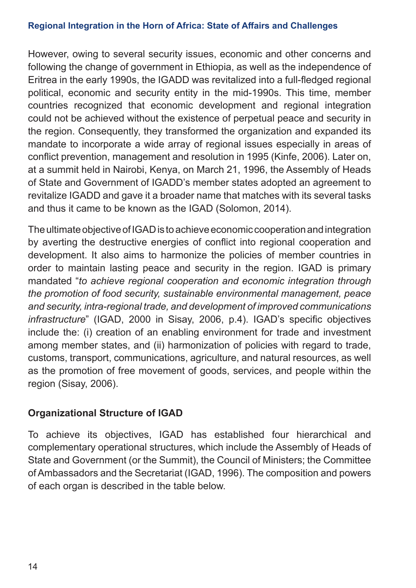However, owing to several security issues, economic and other concerns and following the change of government in Ethiopia, as well as the independence of Eritrea in the early 1990s, the IGADD was revitalized into a full-fledged regional political, economic and security entity in the mid-1990s. This time, member countries recognized that economic development and regional integration could not be achieved without the existence of perpetual peace and security in the region. Consequently, they transformed the organization and expanded its mandate to incorporate a wide array of regional issues especially in areas of conflict prevention, management and resolution in 1995 (Kinfe, 2006). Later on, at a summit held in Nairobi, Kenya, on March 21, 1996, the Assembly of Heads of State and Government of IGADD's member states adopted an agreement to revitalize IGADD and gave it a broader name that matches with its several tasks and thus it came to be known as the IGAD (Solomon, 2014).

The ultimate objective of IGAD is to achieve economic cooperation and integration by averting the destructive energies of conflict into regional cooperation and development. It also aims to harmonize the policies of member countries in order to maintain lasting peace and security in the region. IGAD is primary mandated "*to achieve regional cooperation and economic integration through the promotion of food security, sustainable environmental management, peace and security, intra-regional trade, and development of improved communications infrastructure*" (IGAD, 2000 in Sisay, 2006, p.4). IGAD's specific objectives include the: (i) creation of an enabling environment for trade and investment among member states, and (ii) harmonization of policies with regard to trade, customs, transport, communications, agriculture, and natural resources, as well as the promotion of free movement of goods, services, and people within the region (Sisay, 2006).

### **Organizational Structure of IGAD**

To achieve its objectives, IGAD has established four hierarchical and complementary operational structures, which include the Assembly of Heads of State and Government (or the Summit), the Council of Ministers; the Committee of Ambassadors and the Secretariat (IGAD, 1996). The composition and powers of each organ is described in the table below.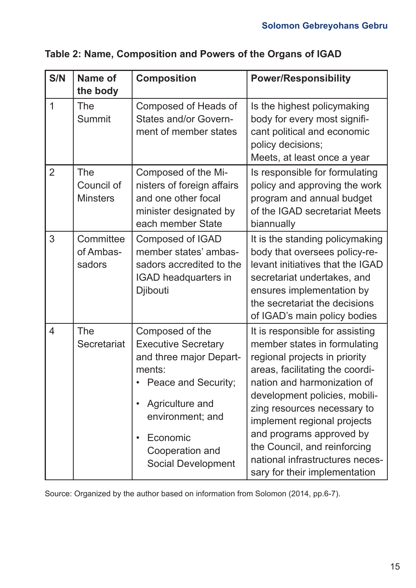| S/N            | Name of<br>the body                  | <b>Composition</b>                                                                                                                                                                                                              | <b>Power/Responsibility</b>                                                                                                                                                                                                                                                                                                                                                                       |
|----------------|--------------------------------------|---------------------------------------------------------------------------------------------------------------------------------------------------------------------------------------------------------------------------------|---------------------------------------------------------------------------------------------------------------------------------------------------------------------------------------------------------------------------------------------------------------------------------------------------------------------------------------------------------------------------------------------------|
| $\mathbf{1}$   | The<br>Summit                        | Composed of Heads of<br>States and/or Govern-<br>ment of member states                                                                                                                                                          | Is the highest policymaking<br>body for every most signifi-<br>cant political and economic<br>policy decisions;<br>Meets, at least once a year                                                                                                                                                                                                                                                    |
| $\overline{2}$ | The<br>Council of<br><b>Minsters</b> | Composed of the Mi-<br>nisters of foreign affairs<br>and one other focal<br>minister designated by<br>each member State                                                                                                         | Is responsible for formulating<br>policy and approving the work<br>program and annual budget<br>of the IGAD secretariat Meets<br>biannually                                                                                                                                                                                                                                                       |
| 3              | Committee<br>of Ambas-<br>sadors     | Composed of IGAD<br>member states' ambas-<br>sadors accredited to the<br>IGAD headquarters in<br>Djibouti                                                                                                                       | It is the standing policymaking<br>body that oversees policy-re-<br>levant initiatives that the IGAD<br>secretariat undertakes, and<br>ensures implementation by<br>the secretariat the decisions<br>of IGAD's main policy bodies                                                                                                                                                                 |
| 4              | The<br>Secretariat                   | Composed of the<br><b>Executive Secretary</b><br>and three major Depart-<br>ments:<br>Peace and Security;<br>Agriculture and<br>$\bullet$<br>environment; and<br>Economic<br>$\bullet$<br>Cooperation and<br>Social Development | It is responsible for assisting<br>member states in formulating<br>regional projects in priority<br>areas, facilitating the coordi-<br>nation and harmonization of<br>development policies, mobili-<br>zing resources necessary to<br>implement regional projects<br>and programs approved by<br>the Council, and reinforcing<br>national infrastructures neces-<br>sary for their implementation |

|  | Table 2: Name, Composition and Powers of the Organs of IGAD |  |  |
|--|-------------------------------------------------------------|--|--|
|--|-------------------------------------------------------------|--|--|

Source: Organized by the author based on information from Solomon (2014, pp.6-7).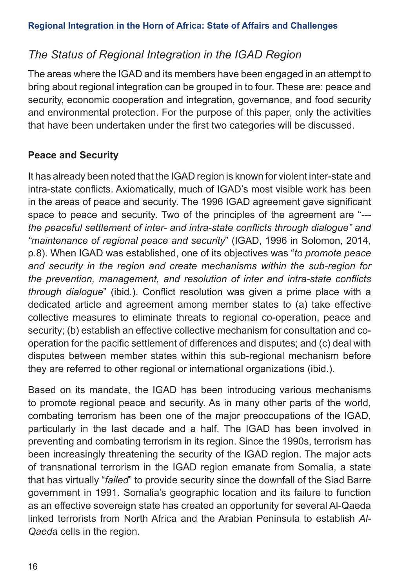## *The Status of Regional Integration in the IGAD Region*

The areas where the IGAD and its members have been engaged in an attempt to bring about regional integration can be grouped in to four. These are: peace and security, economic cooperation and integration, governance, and food security and environmental protection. For the purpose of this paper, only the activities that have been undertaken under the first two categories will be discussed.

## **Peace and Security**

It has already been noted that the IGAD region is known for violent inter-state and intra-state conflicts. Axiomatically, much of IGAD's most visible work has been in the areas of peace and security. The 1996 IGAD agreement gave significant space to peace and security. Two of the principles of the agreement are "*-- the peaceful settlement of inter- and intra-state conflicts through dialogue" and "maintenance of regional peace and security*" (IGAD, 1996 in Solomon, 2014, p.8). When IGAD was established, one of its objectives was "*to promote peace and security in the region and create mechanisms within the sub-region for the prevention, management, and resolution of inter and intra-state conflicts through dialogue*" (ibid.). Conflict resolution was given a prime place with a dedicated article and agreement among member states to (a) take effective collective measures to eliminate threats to regional co-operation, peace and security; (b) establish an effective collective mechanism for consultation and cooperation for the pacific settlement of differences and disputes; and (c) deal with disputes between member states within this sub-regional mechanism before they are referred to other regional or international organizations (ibid.).

Based on its mandate, the IGAD has been introducing various mechanisms to promote regional peace and security. As in many other parts of the world, combating terrorism has been one of the major preoccupations of the IGAD, particularly in the last decade and a half. The IGAD has been involved in preventing and combating terrorism in its region. Since the 1990s, terrorism has been increasingly threatening the security of the IGAD region. The major acts of transnational terrorism in the IGAD region emanate from Somalia, a state that has virtually "*failed*" to provide security since the downfall of the Siad Barre government in 1991. Somalia's geographic location and its failure to function as an effective sovereign state has created an opportunity for several Al-Qaeda linked terrorists from North Africa and the Arabian Peninsula to establish *Al-Qaeda* cells in the region.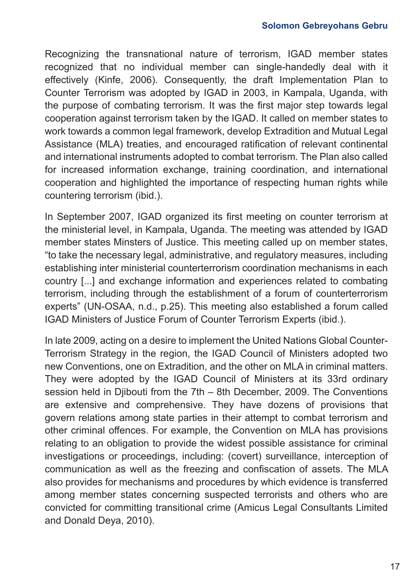Recognizing the transnational nature of terrorism, IGAD member states recognized that no individual member can single-handedly deal with it effectively (Kinfe, 2006). Consequently, the draft Implementation Plan to Counter Terrorism was adopted by IGAD in 2003, in Kampala, Uganda, with the purpose of combating terrorism. It was the first major step towards legal cooperation against terrorism taken by the IGAD. It called on member states to work towards a common legal framework, develop Extradition and Mutual Legal Assistance (MLA) treaties, and encouraged ratification of relevant continental and international instruments adopted to combat terrorism. The Plan also called for increased information exchange, training coordination, and international cooperation and highlighted the importance of respecting human rights while countering terrorism (ibid.).

In September 2007, IGAD organized its first meeting on counter terrorism at the ministerial level, in Kampala, Uganda. The meeting was attended by IGAD member states Minsters of Justice. This meeting called up on member states, "to take the necessary legal, administrative, and regulatory measures, including establishing inter ministerial counterterrorism coordination mechanisms in each country [...] and exchange information and experiences related to combating terrorism, including through the establishment of a forum of counterterrorism experts" (UN-OSAA, n.d., p.25). This meeting also established a forum called IGAD Ministers of Justice Forum of Counter Terrorism Experts (ibid.).

In late 2009, acting on a desire to implement the United Nations Global Counter-Terrorism Strategy in the region, the IGAD Council of Ministers adopted two new Conventions, one on Extradition, and the other on MLA in criminal matters. They were adopted by the IGAD Council of Ministers at its 33rd ordinary session held in Djibouti from the 7th – 8th December, 2009. The Conventions are extensive and comprehensive. They have dozens of provisions that govern relations among state parties in their attempt to combat terrorism and other criminal offences. For example, the Convention on MLA has provisions relating to an obligation to provide the widest possible assistance for criminal investigations or proceedings, including: (covert) surveillance, interception of communication as well as the freezing and confiscation of assets. The MLA also provides for mechanisms and procedures by which evidence is transferred among member states concerning suspected terrorists and others who are convicted for committing transitional crime (Amicus Legal Consultants Limited and Donald Deya, 2010).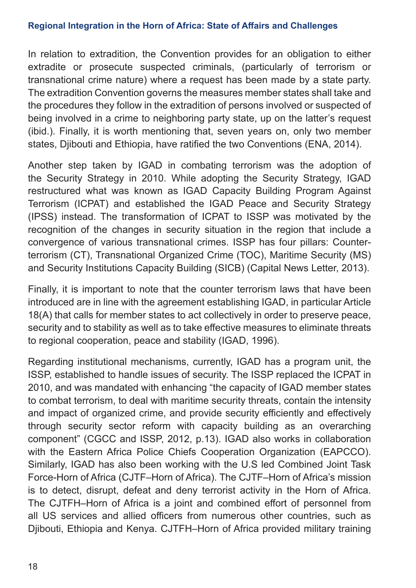In relation to extradition, the Convention provides for an obligation to either extradite or prosecute suspected criminals, (particularly of terrorism or transnational crime nature) where a request has been made by a state party. The extradition Convention governs the measures member states shall take and the procedures they follow in the extradition of persons involved or suspected of being involved in a crime to neighboring party state, up on the latter's request (ibid.). Finally, it is worth mentioning that, seven years on, only two member states, Djibouti and Ethiopia, have ratified the two Conventions (ENA, 2014).

Another step taken by IGAD in combating terrorism was the adoption of the Security Strategy in 2010. While adopting the Security Strategy, IGAD restructured what was known as IGAD Capacity Building Program Against Terrorism (ICPAT) and established the IGAD Peace and Security Strategy (IPSS) instead. The transformation of ICPAT to ISSP was motivated by the recognition of the changes in security situation in the region that include a convergence of various transnational crimes. ISSP has four pillars: Counterterrorism (CT), Transnational Organized Crime (TOC), Maritime Security (MS) and Security Institutions Capacity Building (SICB) (Capital News Letter, 2013).

Finally, it is important to note that the counter terrorism laws that have been introduced are in line with the agreement establishing IGAD, in particular Article 18(A) that calls for member states to act collectively in order to preserve peace, security and to stability as well as to take effective measures to eliminate threats to regional cooperation, peace and stability (IGAD, 1996).

Regarding institutional mechanisms, currently, IGAD has a program unit, the ISSP, established to handle issues of security. The ISSP replaced the ICPAT in 2010, and was mandated with enhancing "the capacity of IGAD member states to combat terrorism, to deal with maritime security threats, contain the intensity and impact of organized crime, and provide security efficiently and effectively through security sector reform with capacity building as an overarching component" (CGCC and ISSP, 2012, p.13). IGAD also works in collaboration with the Eastern Africa Police Chiefs Cooperation Organization (EAPCCO). Similarly, IGAD has also been working with the U.S led Combined Joint Task Force-Horn of Africa (CJTF–Horn of Africa). The CJTF–Horn of Africa's mission is to detect, disrupt, defeat and deny terrorist activity in the Horn of Africa. The CJTFH–Horn of Africa is a joint and combined effort of personnel from all US services and allied officers from numerous other countries, such as Djibouti, Ethiopia and Kenya. CJTFH–Horn of Africa provided military training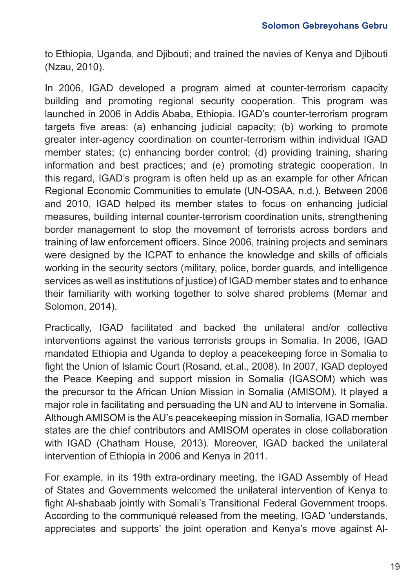to Ethiopia, Uganda, and Djibouti; and trained the navies of Kenya and Djibouti (Nzau, 2010).

In 2006, IGAD developed a program aimed at counter-terrorism capacity building and promoting regional security cooperation. This program was launched in 2006 in Addis Ababa, Ethiopia. IGAD's counter-terrorism program targets five areas: (a) enhancing judicial capacity; (b) working to promote greater inter-agency coordination on counter-terrorism within individual IGAD member states; (c) enhancing border control; (d) providing training, sharing information and best practices; and (e) promoting strategic cooperation. In this regard, IGAD's program is often held up as an example for other African Regional Economic Communities to emulate (UN-OSAA, n.d.). Between 2006 and 2010, IGAD helped its member states to focus on enhancing judicial measures, building internal counter-terrorism coordination units, strengthening border management to stop the movement of terrorists across borders and training of law enforcement officers. Since 2006, training projects and seminars were designed by the ICPAT to enhance the knowledge and skills of officials working in the security sectors (military, police, border guards, and intelligence services as well as institutions of justice) of IGAD member states and to enhance their familiarity with working together to solve shared problems (Memar and Solomon, 2014).

Practically, IGAD facilitated and backed the unilateral and/or collective interventions against the various terrorists groups in Somalia. In 2006, IGAD mandated Ethiopia and Uganda to deploy a peacekeeping force in Somalia to fight the Union of Islamic Court (Rosand, et.al., 2008). In 2007, IGAD deployed the Peace Keeping and support mission in Somalia (IGASOM) which was the precursor to the African Union Mission in Somalia (AMISOM). It played a major role in facilitating and persuading the UN and AU to intervene in Somalia. Although AMISOM is the AU's peacekeeping mission in Somalia, IGAD member states are the chief contributors and AMISOM operates in close collaboration with IGAD (Chatham House, 2013). Moreover, IGAD backed the unilateral intervention of Ethiopia in 2006 and Kenya in 2011.

For example, in its 19th extra-ordinary meeting, the IGAD Assembly of Head of States and Governments welcomed the unilateral intervention of Kenya to fight Al-shabaab jointly with Somali's Transitional Federal Government troops. According to the communiqué released from the meeting, IGAD 'understands, appreciates and supports' the joint operation and Kenya's move against Al-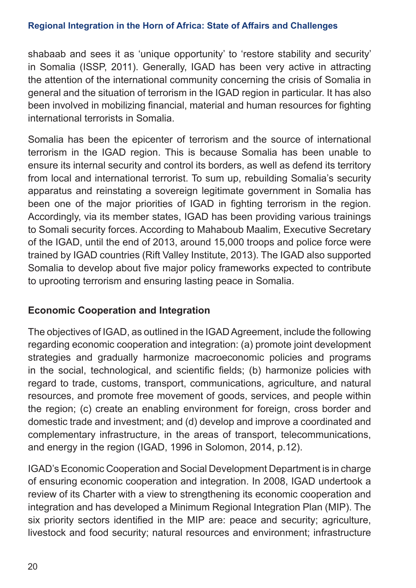shabaab and sees it as 'unique opportunity' to 'restore stability and security' in Somalia (ISSP, 2011). Generally, IGAD has been very active in attracting the attention of the international community concerning the crisis of Somalia in general and the situation of terrorism in the IGAD region in particular. It has also been involved in mobilizing financial, material and human resources for fighting international terrorists in Somalia.

Somalia has been the epicenter of terrorism and the source of international terrorism in the IGAD region. This is because Somalia has been unable to ensure its internal security and control its borders, as well as defend its territory from local and international terrorist. To sum up, rebuilding Somalia's security apparatus and reinstating a sovereign legitimate government in Somalia has been one of the major priorities of IGAD in fighting terrorism in the region. Accordingly, via its member states, IGAD has been providing various trainings to Somali security forces. According to Mahaboub Maalim, Executive Secretary of the IGAD, until the end of 2013, around 15,000 troops and police force were trained by IGAD countries (Rift Valley Institute, 2013). The IGAD also supported Somalia to develop about five major policy frameworks expected to contribute to uprooting terrorism and ensuring lasting peace in Somalia.

### **Economic Cooperation and Integration**

The objectives of IGAD, as outlined in the IGAD Agreement, include the following regarding economic cooperation and integration: (a) promote joint development strategies and gradually harmonize macroeconomic policies and programs in the social, technological, and scientific fields; (b) harmonize policies with regard to trade, customs, transport, communications, agriculture, and natural resources, and promote free movement of goods, services, and people within the region; (c) create an enabling environment for foreign, cross border and domestic trade and investment; and (d) develop and improve a coordinated and complementary infrastructure, in the areas of transport, telecommunications, and energy in the region (IGAD, 1996 in Solomon, 2014, p.12).

IGAD's Economic Cooperation and Social Development Department is in charge of ensuring economic cooperation and integration. In 2008, IGAD undertook a review of its Charter with a view to strengthening its economic cooperation and integration and has developed a Minimum Regional Integration Plan (MIP). The six priority sectors identified in the MIP are: peace and security; agriculture, livestock and food security; natural resources and environment; infrastructure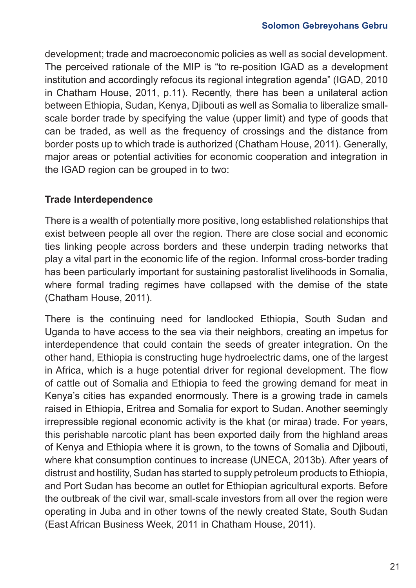development; trade and macroeconomic policies as well as social development. The perceived rationale of the MIP is "to re-position IGAD as a development institution and accordingly refocus its regional integration agenda" (IGAD, 2010 in Chatham House, 2011, p.11). Recently, there has been a unilateral action between Ethiopia, Sudan, Kenya, Djibouti as well as Somalia to liberalize smallscale border trade by specifying the value (upper limit) and type of goods that can be traded, as well as the frequency of crossings and the distance from border posts up to which trade is authorized (Chatham House, 2011). Generally, major areas or potential activities for economic cooperation and integration in the IGAD region can be grouped in to two:

### **Trade Interdependence**

There is a wealth of potentially more positive, long established relationships that exist between people all over the region. There are close social and economic ties linking people across borders and these underpin trading networks that play a vital part in the economic life of the region. Informal cross-border trading has been particularly important for sustaining pastoralist livelihoods in Somalia, where formal trading regimes have collapsed with the demise of the state (Chatham House, 2011).

There is the continuing need for landlocked Ethiopia, South Sudan and Uganda to have access to the sea via their neighbors, creating an impetus for interdependence that could contain the seeds of greater integration. On the other hand, Ethiopia is constructing huge hydroelectric dams, one of the largest in Africa, which is a huge potential driver for regional development. The flow of cattle out of Somalia and Ethiopia to feed the growing demand for meat in Kenya's cities has expanded enormously. There is a growing trade in camels raised in Ethiopia, Eritrea and Somalia for export to Sudan. Another seemingly irrepressible regional economic activity is the khat (or miraa) trade. For years, this perishable narcotic plant has been exported daily from the highland areas of Kenya and Ethiopia where it is grown, to the towns of Somalia and Djibouti, where khat consumption continues to increase (UNECA, 2013b). After years of distrust and hostility, Sudan has started to supply petroleum products to Ethiopia, and Port Sudan has become an outlet for Ethiopian agricultural exports. Before the outbreak of the civil war, small-scale investors from all over the region were operating in Juba and in other towns of the newly created State, South Sudan (East African Business Week, 2011 in Chatham House, 2011).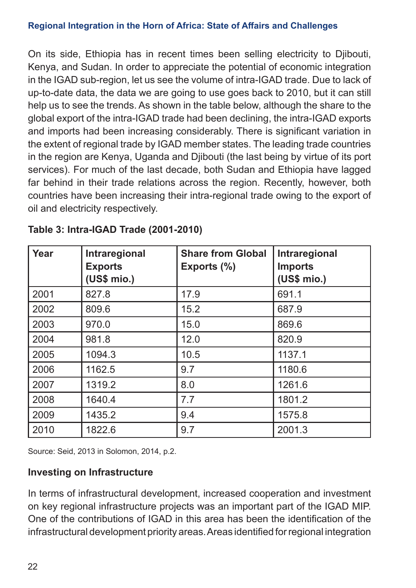On its side, Ethiopia has in recent times been selling electricity to Djibouti, Kenya, and Sudan. In order to appreciate the potential of economic integration in the IGAD sub-region, let us see the volume of intra-IGAD trade. Due to lack of up-to-date data, the data we are going to use goes back to 2010, but it can still help us to see the trends. As shown in the table below, although the share to the global export of the intra-IGAD trade had been declining, the intra-IGAD exports and imports had been increasing considerably. There is significant variation in the extent of regional trade by IGAD member states. The leading trade countries in the region are Kenya, Uganda and Djibouti (the last being by virtue of its port services). For much of the last decade, both Sudan and Ethiopia have lagged far behind in their trade relations across the region. Recently, however, both countries have been increasing their intra-regional trade owing to the export of oil and electricity respectively.

| Year | Intraregional<br><b>Exports</b><br>(US\$ mio.) | <b>Share from Global</b><br>Exports (%) | Intraregional<br><b>Imports</b><br>(US\$ mio.) |
|------|------------------------------------------------|-----------------------------------------|------------------------------------------------|
| 2001 | 827.8                                          | 17.9                                    | 691.1                                          |
| 2002 | 809.6                                          | 15.2                                    | 687.9                                          |
| 2003 | 970.0                                          | 15.0                                    | 869.6                                          |
| 2004 | 981.8                                          | 12.0                                    | 820.9                                          |
| 2005 | 1094.3                                         | 10.5                                    | 1137.1                                         |
| 2006 | 1162.5                                         | 9.7                                     | 1180.6                                         |
| 2007 | 1319.2                                         | 8.0                                     | 1261.6                                         |
| 2008 | 1640.4                                         | 7.7                                     | 1801.2                                         |
| 2009 | 1435.2                                         | 9.4                                     | 1575.8                                         |
| 2010 | 1822.6                                         | 9.7                                     | 2001.3                                         |

|  | Table 3: Intra-IGAD Trade (2001-2010) |  |  |
|--|---------------------------------------|--|--|
|--|---------------------------------------|--|--|

Source: Seid, 2013 in Solomon, 2014, p.2.

### **Investing on Infrastructure**

In terms of infrastructural development, increased cooperation and investment on key regional infrastructure projects was an important part of the IGAD MIP. One of the contributions of IGAD in this area has been the identification of the infrastructural development priority areas. Areas identified for regional integration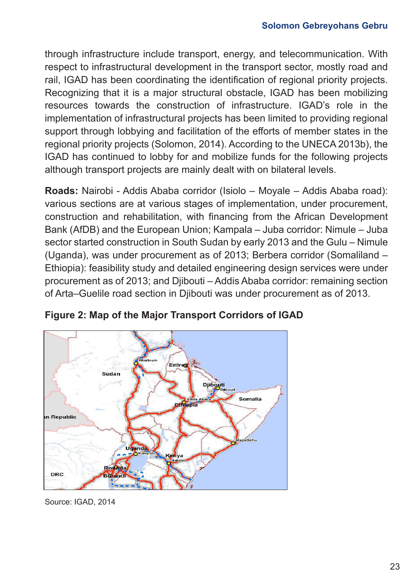through infrastructure include transport, energy, and telecommunication. With respect to infrastructural development in the transport sector, mostly road and rail, IGAD has been coordinating the identification of regional priority projects. Recognizing that it is a major structural obstacle, IGAD has been mobilizing resources towards the construction of infrastructure. IGAD's role in the implementation of infrastructural projects has been limited to providing regional support through lobbying and facilitation of the efforts of member states in the regional priority projects (Solomon, 2014). According to the UNECA 2013b), the IGAD has continued to lobby for and mobilize funds for the following projects although transport projects are mainly dealt with on bilateral levels.

**Roads:** Nairobi - Addis Ababa corridor (Isiolo – Moyale – Addis Ababa road): various sections are at various stages of implementation, under procurement, construction and rehabilitation, with financing from the African Development Bank (AfDB) and the European Union; Kampala – Juba corridor: Nimule – Juba sector started construction in South Sudan by early 2013 and the Gulu – Nimule (Uganda), was under procurement as of 2013; Berbera corridor (Somaliland – Ethiopia): feasibility study and detailed engineering design services were under procurement as of 2013; and Djibouti – Addis Ababa corridor: remaining section of Arta–Guelile road section in Djibouti was under procurement as of 2013.



**Figure 2: Map of the Major Transport Corridors of IGAD**

Source: IGAD, 2014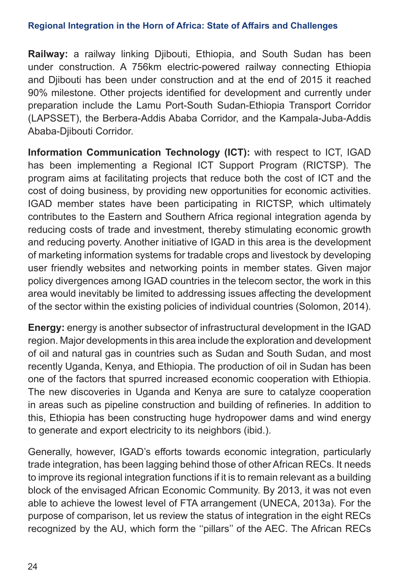**Railway:** a railway linking Djibouti, Ethiopia, and South Sudan has been under construction. A 756km electric-powered railway connecting Ethiopia and Djibouti has been under construction and at the end of 2015 it reached 90% milestone. Other projects identified for development and currently under preparation include the Lamu Port-South Sudan-Ethiopia Transport Corridor (LAPSSET), the Berbera-Addis Ababa Corridor, and the Kampala-Juba-Addis Ababa-Djibouti Corridor.

**Information Communication Technology (ICT):** with respect to ICT, IGAD has been implementing a Regional ICT Support Program (RICTSP). The program aims at facilitating projects that reduce both the cost of ICT and the cost of doing business, by providing new opportunities for economic activities. IGAD member states have been participating in RICTSP, which ultimately contributes to the Eastern and Southern Africa regional integration agenda by reducing costs of trade and investment, thereby stimulating economic growth and reducing poverty. Another initiative of IGAD in this area is the development of marketing information systems for tradable crops and livestock by developing user friendly websites and networking points in member states. Given major policy divergences among IGAD countries in the telecom sector, the work in this area would inevitably be limited to addressing issues affecting the development of the sector within the existing policies of individual countries (Solomon, 2014).

**Energy:** energy is another subsector of infrastructural development in the IGAD region. Major developments in this area include the exploration and development of oil and natural gas in countries such as Sudan and South Sudan, and most recently Uganda, Kenya, and Ethiopia. The production of oil in Sudan has been one of the factors that spurred increased economic cooperation with Ethiopia. The new discoveries in Uganda and Kenya are sure to catalyze cooperation in areas such as pipeline construction and building of refineries. In addition to this, Ethiopia has been constructing huge hydropower dams and wind energy to generate and export electricity to its neighbors (ibid.).

Generally, however, IGAD's efforts towards economic integration, particularly trade integration, has been lagging behind those of other African RECs. It needs to improve its regional integration functions if it is to remain relevant as a building block of the envisaged African Economic Community. By 2013, it was not even able to achieve the lowest level of FTA arrangement (UNECA, 2013a). For the purpose of comparison, let us review the status of integration in the eight RECs recognized by the AU, which form the ''pillars'' of the AEC. The African RECs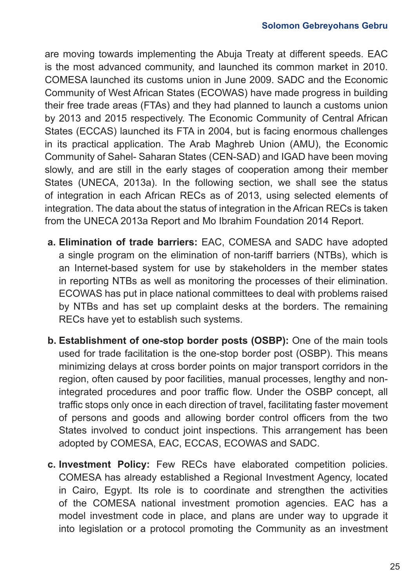are moving towards implementing the Abuja Treaty at different speeds. EAC is the most advanced community, and launched its common market in 2010. COMESA launched its customs union in June 2009. SADC and the Economic Community of West African States (ECOWAS) have made progress in building their free trade areas (FTAs) and they had planned to launch a customs union by 2013 and 2015 respectively. The Economic Community of Central African States (ECCAS) launched its FTA in 2004, but is facing enormous challenges in its practical application. The Arab Maghreb Union (AMU), the Economic Community of Sahel- Saharan States (CEN-SAD) and IGAD have been moving slowly, and are still in the early stages of cooperation among their member States (UNECA, 2013a). In the following section, we shall see the status of integration in each African RECs as of 2013, using selected elements of integration. The data about the status of integration in the African RECs is taken from the UNECA 2013a Report and Mo Ibrahim Foundation 2014 Report.

- **a. Elimination of trade barriers:** EAC, COMESA and SADC have adopted a single program on the elimination of non-tariff barriers (NTBs), which is an Internet-based system for use by stakeholders in the member states in reporting NTBs as well as monitoring the processes of their elimination. ECOWAS has put in place national committees to deal with problems raised by NTBs and has set up complaint desks at the borders. The remaining RECs have yet to establish such systems.
- **b. Establishment of one-stop border posts (OSBP):** One of the main tools used for trade facilitation is the one-stop border post (OSBP). This means minimizing delays at cross border points on major transport corridors in the region, often caused by poor facilities, manual processes, lengthy and nonintegrated procedures and poor traffic flow. Under the OSBP concept, all traffic stops only once in each direction of travel, facilitating faster movement of persons and goods and allowing border control officers from the two States involved to conduct joint inspections. This arrangement has been adopted by COMESA, EAC, ECCAS, ECOWAS and SADC.
- **c. Investment Policy:** Few RECs have elaborated competition policies. COMESA has already established a Regional Investment Agency, located in Cairo, Egypt. Its role is to coordinate and strengthen the activities of the COMESA national investment promotion agencies. EAC has a model investment code in place, and plans are under way to upgrade it into legislation or a protocol promoting the Community as an investment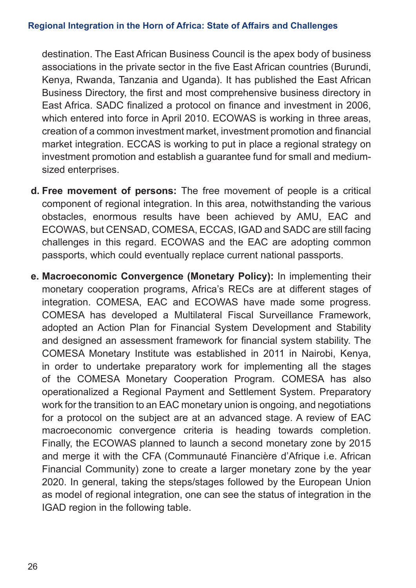destination. The East African Business Council is the apex body of business associations in the private sector in the five East African countries (Burundi, Kenya, Rwanda, Tanzania and Uganda). It has published the East African Business Directory, the first and most comprehensive business directory in East Africa. SADC finalized a protocol on finance and investment in 2006, which entered into force in April 2010. ECOWAS is working in three areas, creation of a common investment market, investment promotion and financial market integration. ECCAS is working to put in place a regional strategy on investment promotion and establish a guarantee fund for small and mediumsized enterprises.

- **d. Free movement of persons:** The free movement of people is a critical component of regional integration. In this area, notwithstanding the various obstacles, enormous results have been achieved by AMU, EAC and ECOWAS, but CENSAD, COMESA, ECCAS, IGAD and SADC are still facing challenges in this regard. ECOWAS and the EAC are adopting common passports, which could eventually replace current national passports.
- **e. Macroeconomic Convergence (Monetary Policy):** In implementing their monetary cooperation programs, Africa's RECs are at different stages of integration. COMESA, EAC and ECOWAS have made some progress. COMESA has developed a Multilateral Fiscal Surveillance Framework, adopted an Action Plan for Financial System Development and Stability and designed an assessment framework for financial system stability. The COMESA Monetary Institute was established in 2011 in Nairobi, Kenya, in order to undertake preparatory work for implementing all the stages of the COMESA Monetary Cooperation Program. COMESA has also operationalized a Regional Payment and Settlement System. Preparatory work for the transition to an EAC monetary union is ongoing, and negotiations for a protocol on the subject are at an advanced stage. A review of EAC macroeconomic convergence criteria is heading towards completion. Finally, the ECOWAS planned to launch a second monetary zone by 2015 and merge it with the CFA (Communauté Financière d'Afrique i.e. African Financial Community) zone to create a larger monetary zone by the year 2020. In general, taking the steps/stages followed by the European Union as model of regional integration, one can see the status of integration in the IGAD region in the following table.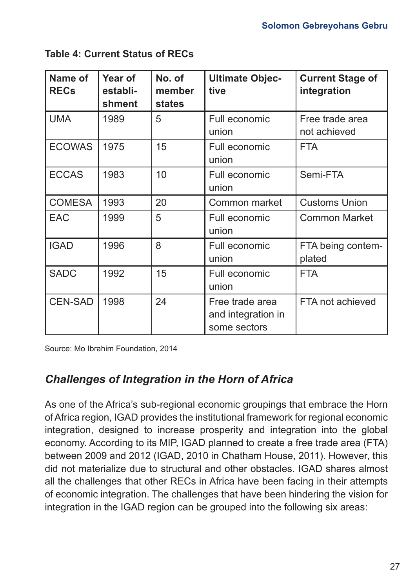| Name of<br><b>RECs</b> | Year of<br>establi-<br>shment | No. of<br>member<br>states | <b>Ultimate Objec-</b><br>tive                        | <b>Current Stage of</b><br>integration |
|------------------------|-------------------------------|----------------------------|-------------------------------------------------------|----------------------------------------|
| <b>UMA</b>             | 1989                          | 5                          | Full economic<br>union                                | Free trade area<br>not achieved        |
| <b>ECOWAS</b>          | 1975                          | 15                         | Full economic<br>union                                | <b>FTA</b>                             |
| <b>ECCAS</b>           | 1983                          | 10                         | Full economic<br>union                                | Semi-FTA                               |
| <b>COMESA</b>          | 1993                          | 20                         | Common market                                         | <b>Customs Union</b>                   |
| <b>EAC</b>             | 1999                          | 5                          | Full economic<br>union                                | <b>Common Market</b>                   |
| <b>IGAD</b>            | 1996                          | 8                          | Full economic<br>union                                | FTA being contem-<br>plated            |
| <b>SADC</b>            | 1992                          | 15                         | Full economic<br>union                                | <b>FTA</b>                             |
| <b>CEN-SAD</b>         | 1998                          | 24                         | Free trade area<br>and integration in<br>some sectors | FTA not achieved                       |

**Table 4: Current Status of RECs**

Source: Mo Ibrahim Foundation, 2014

## *Challenges of Integration in the Horn of Africa*

As one of the Africa's sub-regional economic groupings that embrace the Horn of Africa region, IGAD provides the institutional framework for regional economic integration, designed to increase prosperity and integration into the global economy. According to its MIP, IGAD planned to create a free trade area (FTA) between 2009 and 2012 (IGAD, 2010 in Chatham House, 2011). However, this did not materialize due to structural and other obstacles. IGAD shares almost all the challenges that other RECs in Africa have been facing in their attempts of economic integration. The challenges that have been hindering the vision for integration in the IGAD region can be grouped into the following six areas: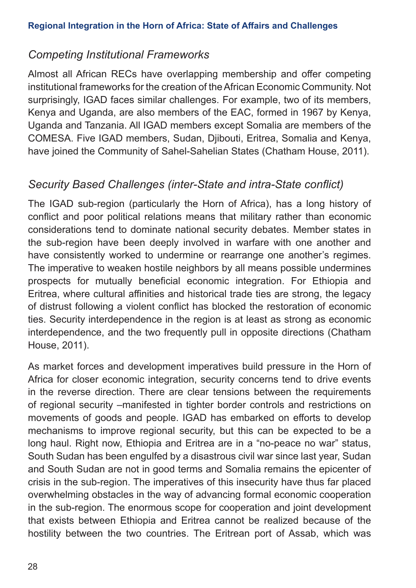## *Competing Institutional Frameworks*

Almost all African RECs have overlapping membership and offer competing institutional frameworks for the creation of the African Economic Community. Not surprisingly, IGAD faces similar challenges. For example, two of its members, Kenya and Uganda, are also members of the EAC, formed in 1967 by Kenya, Uganda and Tanzania. All IGAD members except Somalia are members of the COMESA. Five IGAD members, Sudan, Djibouti, Eritrea, Somalia and Kenya, have joined the Community of Sahel-Sahelian States (Chatham House, 2011).

## *Security Based Challenges (inter-State and intra-State conflict)*

The IGAD sub-region (particularly the Horn of Africa), has a long history of conflict and poor political relations means that military rather than economic considerations tend to dominate national security debates. Member states in the sub-region have been deeply involved in warfare with one another and have consistently worked to undermine or rearrange one another's regimes. The imperative to weaken hostile neighbors by all means possible undermines prospects for mutually beneficial economic integration. For Ethiopia and Eritrea, where cultural affinities and historical trade ties are strong, the legacy of distrust following a violent conflict has blocked the restoration of economic ties. Security interdependence in the region is at least as strong as economic interdependence, and the two frequently pull in opposite directions (Chatham House, 2011).

As market forces and development imperatives build pressure in the Horn of Africa for closer economic integration, security concerns tend to drive events in the reverse direction. There are clear tensions between the requirements of regional security –manifested in tighter border controls and restrictions on movements of goods and people. IGAD has embarked on efforts to develop mechanisms to improve regional security, but this can be expected to be a long haul. Right now, Ethiopia and Eritrea are in a "no-peace no war" status, South Sudan has been engulfed by a disastrous civil war since last year, Sudan and South Sudan are not in good terms and Somalia remains the epicenter of crisis in the sub-region. The imperatives of this insecurity have thus far placed overwhelming obstacles in the way of advancing formal economic cooperation in the sub-region. The enormous scope for cooperation and joint development that exists between Ethiopia and Eritrea cannot be realized because of the hostility between the two countries. The Eritrean port of Assab, which was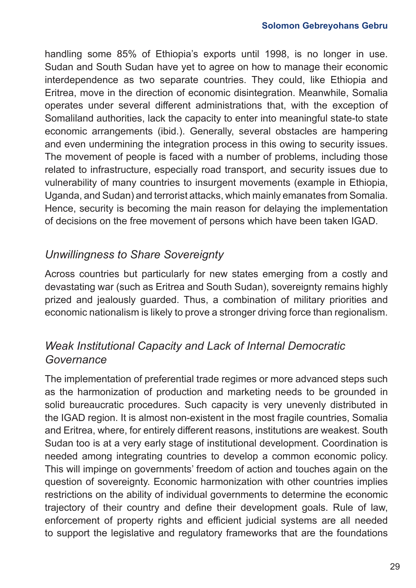handling some 85% of Ethiopia's exports until 1998, is no longer in use. Sudan and South Sudan have yet to agree on how to manage their economic interdependence as two separate countries. They could, like Ethiopia and Eritrea, move in the direction of economic disintegration. Meanwhile, Somalia operates under several different administrations that, with the exception of Somaliland authorities, lack the capacity to enter into meaningful state-to state economic arrangements (ibid.). Generally, several obstacles are hampering and even undermining the integration process in this owing to security issues. The movement of people is faced with a number of problems, including those related to infrastructure, especially road transport, and security issues due to vulnerability of many countries to insurgent movements (example in Ethiopia, Uganda, and Sudan) and terrorist attacks, which mainly emanates from Somalia. Hence, security is becoming the main reason for delaying the implementation of decisions on the free movement of persons which have been taken IGAD.

## *Unwillingness to Share Sovereignty*

Across countries but particularly for new states emerging from a costly and devastating war (such as Eritrea and South Sudan), sovereignty remains highly prized and jealously guarded. Thus, a combination of military priorities and economic nationalism is likely to prove a stronger driving force than regionalism.

## *Weak Institutional Capacity and Lack of Internal Democratic Governance*

The implementation of preferential trade regimes or more advanced steps such as the harmonization of production and marketing needs to be grounded in solid bureaucratic procedures. Such capacity is very unevenly distributed in the IGAD region. It is almost non-existent in the most fragile countries, Somalia and Eritrea, where, for entirely different reasons, institutions are weakest. South Sudan too is at a very early stage of institutional development. Coordination is needed among integrating countries to develop a common economic policy. This will impinge on governments' freedom of action and touches again on the question of sovereignty. Economic harmonization with other countries implies restrictions on the ability of individual governments to determine the economic trajectory of their country and define their development goals. Rule of law, enforcement of property rights and efficient judicial systems are all needed to support the legislative and regulatory frameworks that are the foundations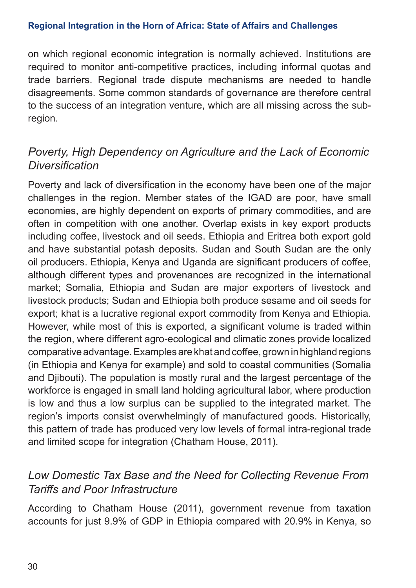on which regional economic integration is normally achieved. Institutions are required to monitor anti-competitive practices, including informal quotas and trade barriers. Regional trade dispute mechanisms are needed to handle disagreements. Some common standards of governance are therefore central to the success of an integration venture, which are all missing across the subregion.

## *Poverty, High Dependency on Agriculture and the Lack of Economic Diversification*

Poverty and lack of diversification in the economy have been one of the major challenges in the region. Member states of the IGAD are poor, have small economies, are highly dependent on exports of primary commodities, and are often in competition with one another. Overlap exists in key export products including coffee, livestock and oil seeds. Ethiopia and Eritrea both export gold and have substantial potash deposits. Sudan and South Sudan are the only oil producers. Ethiopia, Kenya and Uganda are significant producers of coffee, although different types and provenances are recognized in the international market; Somalia, Ethiopia and Sudan are major exporters of livestock and livestock products; Sudan and Ethiopia both produce sesame and oil seeds for export; khat is a lucrative regional export commodity from Kenya and Ethiopia. However, while most of this is exported, a significant volume is traded within the region, where different agro-ecological and climatic zones provide localized comparative advantage. Examples are khat and coffee, grown in highland regions (in Ethiopia and Kenya for example) and sold to coastal communities (Somalia and Djibouti). The population is mostly rural and the largest percentage of the workforce is engaged in small land holding agricultural labor, where production is low and thus a low surplus can be supplied to the integrated market. The region's imports consist overwhelmingly of manufactured goods. Historically, this pattern of trade has produced very low levels of formal intra-regional trade and limited scope for integration (Chatham House, 2011).

## *Low Domestic Tax Base and the Need for Collecting Revenue From Tariffs and Poor Infrastructure*

According to Chatham House (2011), government revenue from taxation accounts for just 9.9% of GDP in Ethiopia compared with 20.9% in Kenya, so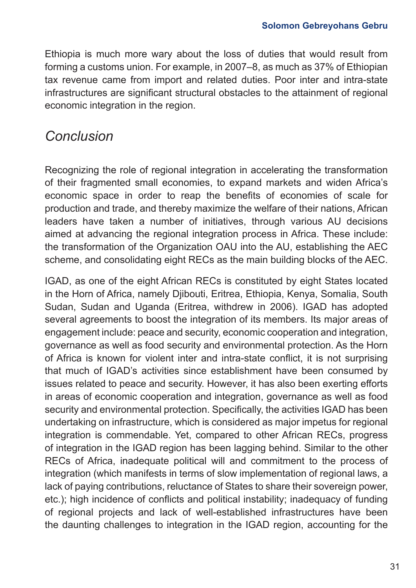Ethiopia is much more wary about the loss of duties that would result from forming a customs union. For example, in 2007–8, as much as 37% of Ethiopian tax revenue came from import and related duties. Poor inter and intra-state infrastructures are significant structural obstacles to the attainment of regional economic integration in the region.

## *Conclusion*

Recognizing the role of regional integration in accelerating the transformation of their fragmented small economies, to expand markets and widen Africa's economic space in order to reap the benefits of economies of scale for production and trade, and thereby maximize the welfare of their nations, African leaders have taken a number of initiatives, through various AU decisions aimed at advancing the regional integration process in Africa. These include: the transformation of the Organization OAU into the AU, establishing the AEC scheme, and consolidating eight RECs as the main building blocks of the AEC.

IGAD, as one of the eight African RECs is constituted by eight States located in the Horn of Africa, namely Djibouti, Eritrea, Ethiopia, Kenya, Somalia, South Sudan, Sudan and Uganda (Eritrea, withdrew in 2006). IGAD has adopted several agreements to boost the integration of its members. Its major areas of engagement include: peace and security, economic cooperation and integration, governance as well as food security and environmental protection. As the Horn of Africa is known for violent inter and intra-state conflict, it is not surprising that much of IGAD's activities since establishment have been consumed by issues related to peace and security. However, it has also been exerting efforts in areas of economic cooperation and integration, governance as well as food security and environmental protection. Specifically, the activities IGAD has been undertaking on infrastructure, which is considered as major impetus for regional integration is commendable. Yet, compared to other African RECs, progress of integration in the IGAD region has been lagging behind. Similar to the other RECs of Africa, inadequate political will and commitment to the process of integration (which manifests in terms of slow implementation of regional laws, a lack of paying contributions, reluctance of States to share their sovereign power, etc.); high incidence of conflicts and political instability; inadequacy of funding of regional projects and lack of well-established infrastructures have been the daunting challenges to integration in the IGAD region, accounting for the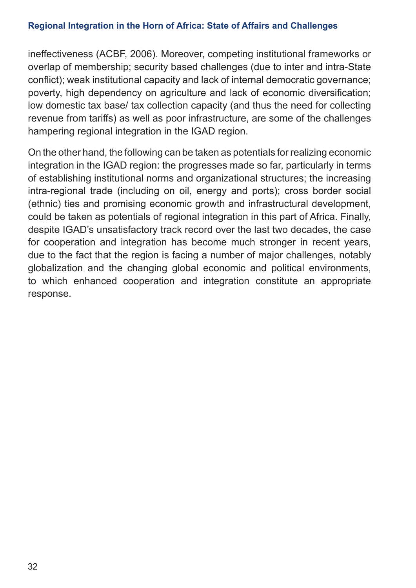ineffectiveness (ACBF, 2006). Moreover, competing institutional frameworks or overlap of membership; security based challenges (due to inter and intra-State conflict); weak institutional capacity and lack of internal democratic governance; poverty, high dependency on agriculture and lack of economic diversification; low domestic tax base/ tax collection capacity (and thus the need for collecting revenue from tariffs) as well as poor infrastructure, are some of the challenges hampering regional integration in the IGAD region.

On the other hand, the following can be taken as potentials for realizing economic integration in the IGAD region: the progresses made so far, particularly in terms of establishing institutional norms and organizational structures; the increasing intra-regional trade (including on oil, energy and ports); cross border social (ethnic) ties and promising economic growth and infrastructural development, could be taken as potentials of regional integration in this part of Africa. Finally, despite IGAD's unsatisfactory track record over the last two decades, the case for cooperation and integration has become much stronger in recent years, due to the fact that the region is facing a number of major challenges, notably globalization and the changing global economic and political environments, to which enhanced cooperation and integration constitute an appropriate response.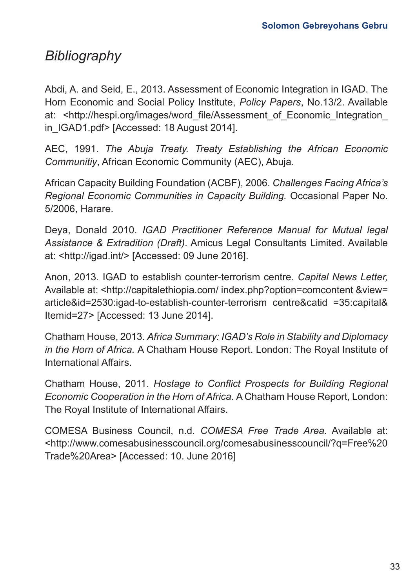## *Bibliography*

Abdi, A. and Seid, E., 2013. Assessment of Economic Integration in IGAD. The Horn Economic and Social Policy Institute, *Policy Papers*, No.13/2. Available at: <http://hespi.org/images/word\_file/Assessment\_of\_Economic\_Integration in IGAD1.pdf> [Accessed: 18 August 2014].

AEC, 1991. *The Abuja Treaty. Treaty Establishing the African Economic Communitiy*, African Economic Community (AEC), Abuja.

African Capacity Building Foundation (ACBF), 2006. *Challenges Facing Africa's Regional Economic Communities in Capacity Building.* Occasional Paper No. 5/2006, Harare.

Deya, Donald 2010. *IGAD Practitioner Reference Manual for Mutual legal Assistance & Extradition (Draft)*. Amicus Legal Consultants Limited. Available at: <http://igad.int/> [Accessed: 09 June 2016].

Anon, 2013. IGAD to establish counter-terrorism centre. *Capital News Letter,*  Available at: <http://capitalethiopia.com/ index.php?option=comcontent &view= article&id=2530:igad-to-establish-counter-terrorism centre&catid =35:capital& Itemid=27> [Accessed: 13 June 2014].

Chatham House, 2013. *Africa Summary: IGAD's Role in Stability and Diplomacy in the Horn of Africa.* A Chatham House Report. London: The Royal Institute of International Affairs.

Chatham House, 2011. *Hostage to Conflict Prospects for Building Regional Economic Cooperation in the Horn of Africa.* A Chatham House Report, London: The Royal Institute of International Affairs.

COMESA Business Council, n.d. *COMESA Free Trade Area.* Available at: <http://www.comesabusinesscouncil.org/comesabusinesscouncil/?q=Free%20 Trade%20Area> [Accessed: 10. June 2016]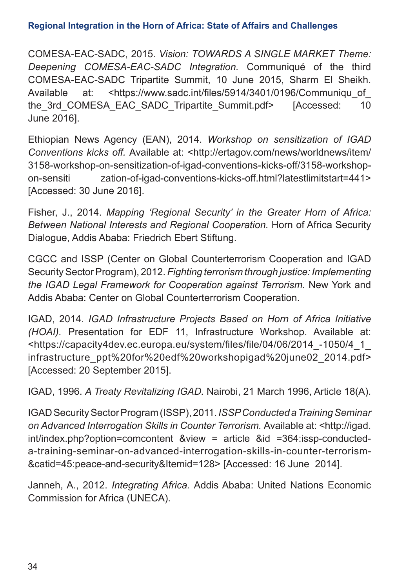COMESA-EAC-SADC, 2015. *Vision: TOWARDS A SINGLE MARKET Theme: Deepening COMESA-EAC-SADC Integration.* Communiqué of the third COMESA-EAC-SADC Tripartite Summit, 10 June 2015, Sharm El Sheikh. Available at: <https://www.sadc.int/files/5914/3401/0196/Communiqu\_of the 3rd COMESA EAC SADC Tripartite Summit.pdf> [Accessed: 10 June 2016].

Ethiopian News Agency (EAN), 2014. *Workshop on sensitization of IGAD Conventions kicks off.* Available at: <http://ertagov.com/news/worldnews/item/ 3158-workshop-on-sensitization-of-igad-conventions-kicks-off/3158-workshopon-sensiti zation-of-igad-conventions-kicks-off.html?latestlimitstart=441> [Accessed: 30 June 2016].

Fisher, J., 2014. *Mapping 'Regional Security' in the Greater Horn of Africa: Between National Interests and Regional Cooperation.* Horn of Africa Security Dialogue, Addis Ababa: Friedrich Ebert Stiftung.

CGCC and ISSP (Center on Global Counterterrorism Cooperation and IGAD Security Sector Program), 2012. *Fighting terrorism through justice: Implementing the IGAD Legal Framework for Cooperation against Terrorism.* New York and Addis Ababa: Center on Global Counterterrorism Cooperation.

IGAD, 2014. *IGAD Infrastructure Projects Based on Horn of Africa Initiative (HOAI).* Presentation for EDF 11, Infrastructure Workshop. Available at: <https://capacity4dev.ec.europa.eu/system/files/file/04/06/2014\_-1050/4\_1\_ infrastructure\_ppt%20for%20edf%20workshopigad%20june02\_2014.pdf> [Accessed: 20 September 2015].

IGAD, 1996. *A Treaty Revitalizing IGAD.* Nairobi, 21 March 1996, Article 18(A).

IGAD Security Sector Program (ISSP), 2011. *ISSP Conducted a Training Seminar on Advanced Interrogation Skills in Counter Terrorism.* Available at: <http://igad. int/index.php?option=comcontent &view = article &id =364:issp-conducteda-training-seminar-on-advanced-interrogation-skills-in-counter-terrorism- &catid=45:peace-and-security&Itemid=128> [Accessed: 16 June 2014].

Janneh, A., 2012. *Integrating Africa.* Addis Ababa: United Nations Economic Commission for Africa (UNECA).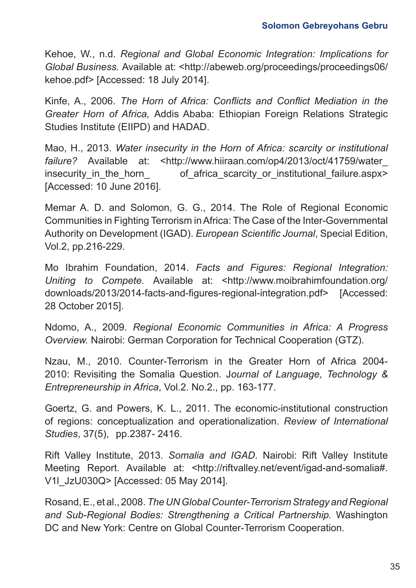Kehoe, W., n.d. *Regional and Global Economic Integration: Implications for Global Business.* Available at: <http://abeweb.org/proceedings/proceedings06/ kehoe.pdf> [Accessed: 18 July 2014].

Kinfe, A., 2006. *The Horn of Africa: Conflicts and Conflict Mediation in the Greater Horn of Africa,* Addis Ababa: Ethiopian Foreign Relations Strategic Studies Institute (EIIPD) and HADAD.

Mao, H., 2013. *Water insecurity in the Horn of Africa: scarcity or institutional failure?* Available at: <http://www.hiiraan.com/op4/2013/oct/41759/water\_ insecurity in the horn of africa scarcity or institutional failure.aspx> [Accessed: 10 June 2016].

Memar A. D. and Solomon, G. G., 2014. The Role of Regional Economic Communities in Fighting Terrorism in Africa: The Case of the Inter-Governmental Authority on Development (IGAD). *European Scientific Journal*, Special Edition, Vol.2, pp.216-229.

Mo Ibrahim Foundation, 2014. *Facts and Figures: Regional Integration: Uniting to Compete.* Available at: <http://www.moibrahimfoundation.org/ downloads/2013/2014-facts-and-figures-regional-integration.pdf> [Accessed: 28 October 2015].

Ndomo, A., 2009. *Regional Economic Communities in Africa: A Progress Overview.* Nairobi: German Corporation for Technical Cooperation (GTZ).

Nzau, M., 2010. Counter-Terrorism in the Greater Horn of Africa 2004- 2010: Revisiting the Somalia Question. J*ournal of Language, Technology & Entrepreneurship in Africa*, Vol.2. No.2., pp. 163-177.

Goertz, G. and Powers, K. L., 2011. The economic-institutional construction of regions: conceptualization and operationalization. *Review of International Studies*, 37(5), pp.2387- 2416.

Rift Valley Institute, 2013. *Somalia and IGAD*. Nairobi: Rift Valley Institute Meeting Report. Available at: <http://riftvalley.net/event/igad-and-somalia#. V1l\_JzU030Q> [Accessed: 05 May 2014].

Rosand, E., et al., 2008. *The UN Global Counter-Terrorism Strategy and Regional and Sub-Regional Bodies: Strengthening a Critical Partnership.* Washington DC and New York: Centre on Global Counter-Terrorism Cooperation.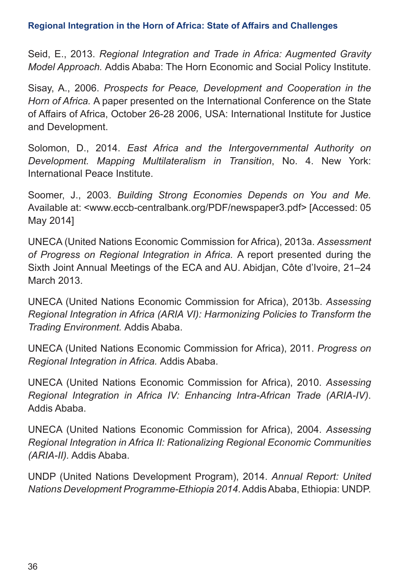Seid, E., 2013. *Regional Integration and Trade in Africa: Augmented Gravity Model Approach.* Addis Ababa: The Horn Economic and Social Policy Institute.

Sisay, A., 2006. *Prospects for Peace, Development and Cooperation in the Horn of Africa.* A paper presented on the International Conference on the State of Affairs of Africa, October 26-28 2006, USA: International Institute for Justice and Development.

Solomon, D., 2014. *East Africa and the Intergovernmental Authority on Development. Mapping Multilateralism in Transition*, No. 4. New York: International Peace Institute.

Soomer, J., 2003. *Building Strong Economies Depends on You and Me.*  Available at: <www.eccb-centralbank.org/PDF/newspaper3.pdf> [Accessed: 05 May 2014]

UNECA (United Nations Economic Commission for Africa), 2013a. *Assessment of Progress on Regional Integration in Africa.* A report presented during the Sixth Joint Annual Meetings of the ECA and AU. Abidjan, Côte d'Ivoire, 21–24 March 2013.

UNECA (United Nations Economic Commission for Africa), 2013b. *Assessing Regional Integration in Africa (ARIA VI): Harmonizing Policies to Transform the Trading Environment.* Addis Ababa.

UNECA (United Nations Economic Commission for Africa), 2011. *Progress on Regional Integration in Africa.* Addis Ababa.

UNECA (United Nations Economic Commission for Africa), 2010. *Assessing Regional Integration in Africa IV: Enhancing Intra-African Trade (ARIA-IV)*. Addis Ababa.

UNECA (United Nations Economic Commission for Africa), 2004. *Assessing Regional Integration in Africa II: Rationalizing Regional Economic Communities (ARIA-II).* Addis Ababa.

UNDP (United Nations Development Program), 2014. *Annual Report: United Nations Development Programme-Ethiopia 2014*. Addis Ababa, Ethiopia: UNDP.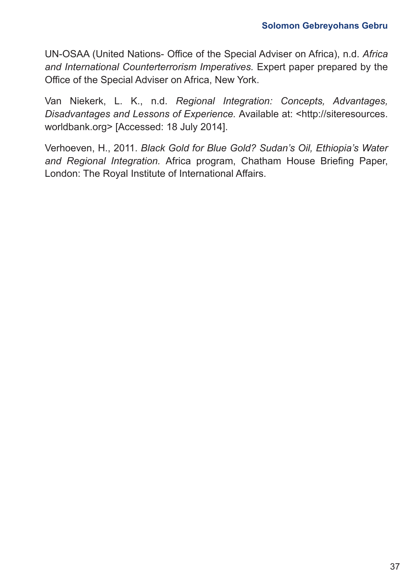UN-OSAA (United Nations- Office of the Special Adviser on Africa), n.d. *Africa and International Counterterrorism Imperatives.* Expert paper prepared by the Office of the Special Adviser on Africa, New York.

Van Niekerk, L. K., n.d. *Regional Integration: Concepts, Advantages, Disadvantages and Lessons of Experience.* Available at: <http://siteresources. worldbank.org> [Accessed: 18 July 2014].

Verhoeven, H., 2011. *Black Gold for Blue Gold? Sudan's Oil, Ethiopia's Water and Regional Integration.* Africa program, Chatham House Briefing Paper, London: The Royal Institute of International Affairs.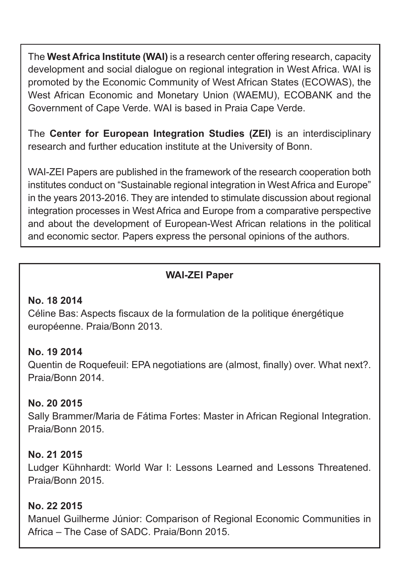The **West Africa Institute (WAI)** is a research center offering research, capacity development and social dialogue on regional integration in West Africa. WAI is promoted by the Economic Community of West African States (ECOWAS), the West African Economic and Monetary Union (WAEMU), ECOBANK and the Government of Cape Verde. WAI is based in Praia Cape Verde.

The **Center for European Integration Studies (ZEI)** is an interdisciplinary research and further education institute at the University of Bonn.

WAI-ZEI Papers are published in the framework of the research cooperation both institutes conduct on "Sustainable regional integration in West Africa and Europe" in the years 2013-2016. They are intended to stimulate discussion about regional integration processes in West Africa and Europe from a comparative perspective and about the development of European-West African relations in the political and economic sector. Papers express the personal opinions of the authors.

## **WAI-ZEI Paper**

### **No. 18 2014**

Céline Bas: Aspects fiscaux de la formulation de la politique énergétique européenne. Praia/Bonn 2013.

### **No. 19 2014**

Quentin de Roquefeuil: EPA negotiations are (almost, finally) over. What next?. Praia/Bonn 2014.

### **No. 20 2015**

Sally Brammer/Maria de Fátima Fortes: Master in African Regional Integration. Praia/Bonn 2015.

### **No. 21 2015**

Ludger Kühnhardt: World War I: Lessons Learned and Lessons Threatened. Praia/Bonn 2015.

### **No. 22 2015**

Manuel Guilherme Júnior: Comparison of Regional Economic Communities in Africa – The Case of SADC. Praia/Bonn 2015.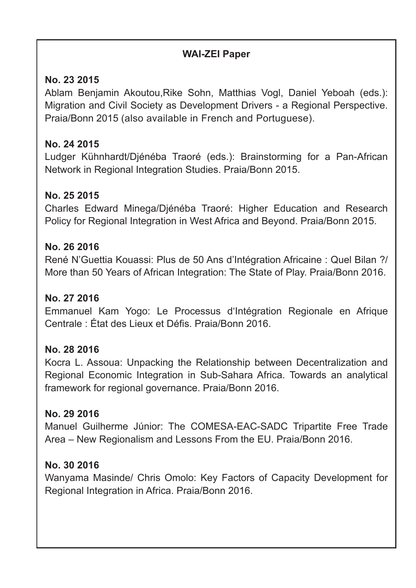### **WAI-ZEI Paper**

## **No. 23 2015**

Ablam Benjamin Akoutou,Rike Sohn, Matthias Vogl, Daniel Yeboah (eds.): Migration and Civil Society as Development Drivers - a Regional Perspective. Praia/Bonn 2015 (also available in French and Portuguese).

## **No. 24 2015**

Ludger Kühnhardt/Djénéba Traoré (eds.): Brainstorming for a Pan-African Network in Regional Integration Studies. Praia/Bonn 2015.

## **No. 25 2015**

Charles Edward Minega/Djénéba Traoré: Higher Education and Research Policy for Regional Integration in West Africa and Beyond. Praia/Bonn 2015.

### **No. 26 2016**

René N'Guettia Kouassi: Plus de 50 Ans d'Intégration Africaine : Quel Bilan ?/ More than 50 Years of African Integration: The State of Play. Praia/Bonn 2016.

## **No. 27 2016**

Emmanuel Kam Yogo: Le Processus d'Intégration Regionale en Afrique Centrale : État des Lieux et Défis. Praia/Bonn 2016.

## **No. 28 2016**

Kocra L. Assoua: Unpacking the Relationship between Decentralization and Regional Economic Integration in Sub-Sahara Africa. Towards an analytical framework for regional governance. Praia/Bonn 2016.

## **No. 29 2016**

Manuel Guilherme Júnior: The COMESA-EAC-SADC Tripartite Free Trade Area – New Regionalism and Lessons From the EU. Praia/Bonn 2016.

## **No. 30 2016**

Wanyama Masinde/ Chris Omolo: Key Factors of Capacity Development for Regional Integration in Africa. Praia/Bonn 2016.